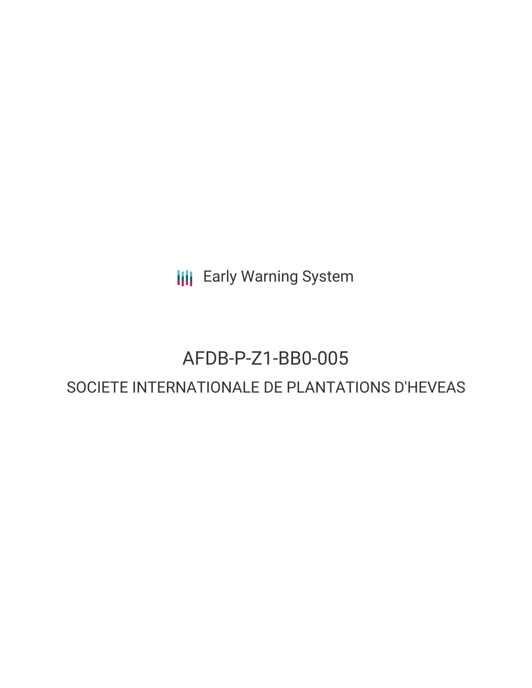**III** Early Warning System

# AFDB-P-Z1-BB0-005 SOCIETE INTERNATIONALE DE PLANTATIONS D'HEVEAS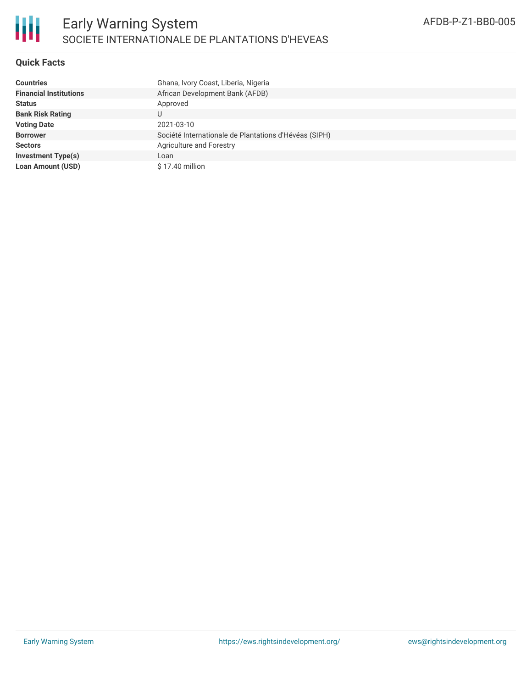

## **Quick Facts**

| <b>Countries</b>              | Ghana, Ivory Coast, Liberia, Nigeria                  |
|-------------------------------|-------------------------------------------------------|
| <b>Financial Institutions</b> | African Development Bank (AFDB)                       |
| <b>Status</b>                 | Approved                                              |
| <b>Bank Risk Rating</b>       |                                                       |
| <b>Voting Date</b>            | 2021-03-10                                            |
| <b>Borrower</b>               | Société Internationale de Plantations d'Hévéas (SIPH) |
| <b>Sectors</b>                | Agriculture and Forestry                              |
| <b>Investment Type(s)</b>     | Loan                                                  |
| <b>Loan Amount (USD)</b>      | \$17.40 million                                       |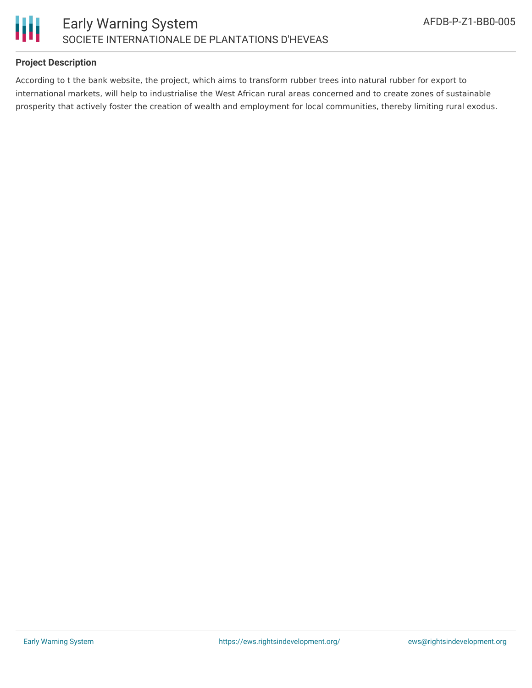

## **Project Description**

According to t the bank website, the project, which aims to transform rubber trees into natural rubber for export to international markets, will help to industrialise the West African rural areas concerned and to create zones of sustainable prosperity that actively foster the creation of wealth and employment for local communities, thereby limiting rural exodus.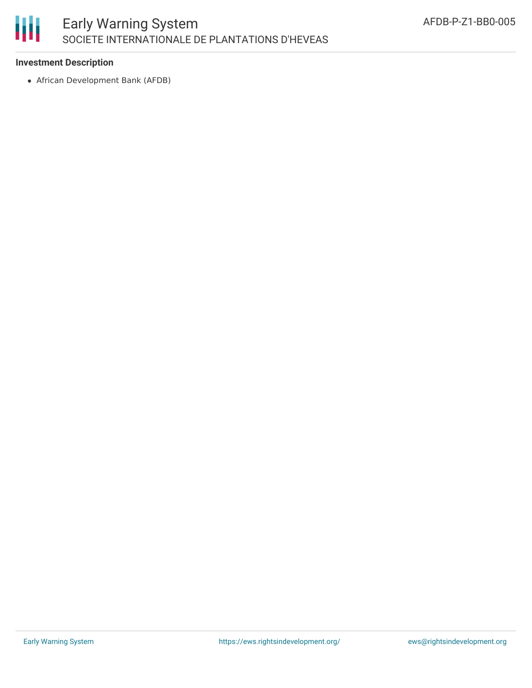

### **Investment Description**

African Development Bank (AFDB)